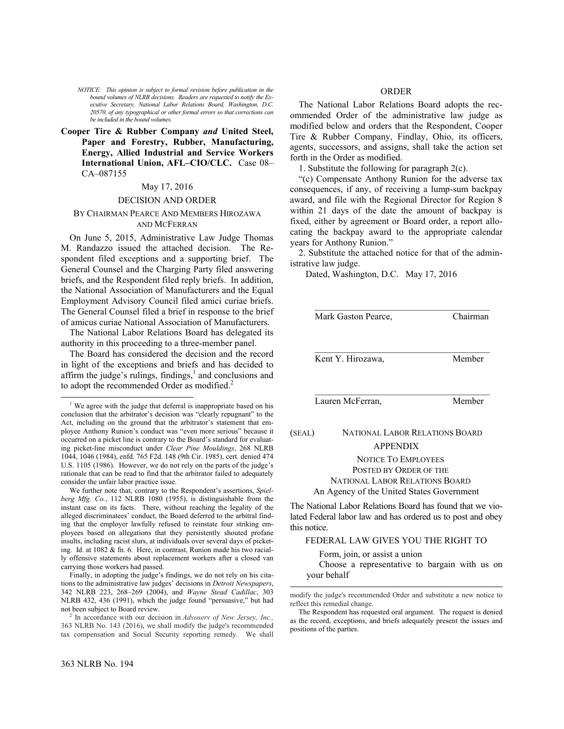*NOTICE: This opinion is subject to formal revision before publication in the bound volumes of NLRB decisions. Readers are requested to notify the Executive Secretary, National Labor Relations Board, Washington, D.C. 20570, of any typographical or other formal errors so that corrections can be included in the bound volumes.*

**Cooper Tire & Rubber Company** *and* **United Steel, Paper and Forestry, Rubber, Manufacturing, Energy, Allied Industrial and Service Workers International Union, AFL–CIO/CLC.** Case 08– CA–087155

### May 17, 2016

### DECISION AND ORDER

## BY CHAIRMAN PEARCE AND MEMBERS HIROZAWA AND MCFERRAN

On June 5, 2015, Administrative Law Judge Thomas M. Randazzo issued the attached decision. The Respondent filed exceptions and a supporting brief. The General Counsel and the Charging Party filed answering briefs, and the Respondent filed reply briefs. In addition, the National Association of Manufacturers and the Equal Employment Advisory Council filed amici curiae briefs. The General Counsel filed a brief in response to the brief of amicus curiae National Association of Manufacturers.

The National Labor Relations Board has delegated its authority in this proceeding to a three-member panel.

The Board has considered the decision and the record in light of the exceptions and briefs and has decided to affirm the judge's rulings, findings, $<sup>1</sup>$  $<sup>1</sup>$  $<sup>1</sup>$  and conclusions and</sup> to adopt the recommended Order as modified.<sup>[2](#page-0-1)</sup>

We further note that, contrary to the Respondent's assertions, *Spielberg Mfg. Co.*, 112 NLRB 1080 (1955), is distinguishable from the instant case on its facts. There, without reaching the legality of the alleged discriminatees' conduct, the Board deferred to the arbitral finding that the employer lawfully refused to reinstate four striking employees based on allegations that they persistently shouted profane insults, including racist slurs, at individuals over several days of picketing. Id. at 1082 & fn. 6. Here, in contrast, Runion made his two racially offensive statements about replacement workers after a closed van carrying those workers had passed.

Finally, in adopting the judge's findings, we do not rely on his citations to the administrative law judges' decisions in *Detroit Newspapers*, 342 NLRB 223, 268–269 (2004), and *Wayne Stead Cadillac*, 303 NLRB 432, 436 (1991), which the judge found "persuasive," but had not been subject to Board review.

<span id="page-0-1"></span>2 In accordance with our decision in *[Advoserv of New Jersey, Inc.,](https://1.next.westlaw.com/Link/Document/FullText?findType=Y&serNum=2038472408&pubNum=0001033&originatingDoc=Iaa7f2840f47111e5b86bd602cb8781fa&refType=CA&originationContext=document&transitionType=DocumentItem&contextData=(sc.Keycite))* [363 NLRB No. 143 \(2016\),](https://1.next.westlaw.com/Link/Document/FullText?findType=Y&serNum=2038472408&pubNum=0001033&originatingDoc=Iaa7f2840f47111e5b86bd602cb8781fa&refType=CA&originationContext=document&transitionType=DocumentItem&contextData=(sc.Keycite)) we shall modify the judge's recommended tax compensation and Social Security reporting remedy. We shall

 $\overline{a}$ 

# ORDER

The National Labor Relations Board adopts the recommended Order of the administrative law judge as modified below and orders that the Respondent, Cooper Tire & Rubber Company, Findlay, Ohio, its officers, agents, successors, and assigns, shall take the action set forth in the Order as modified.

1. Substitute the following for paragraph 2(c).

"(c) Compensate Anthony Runion for the adverse tax consequences, if any, of receiving a lump-sum backpay award, and file with the Regional Director for Region 8 within 21 days of the date the amount of backpay is fixed, either by agreement or Board order, a report allocating the backpay award to the appropriate calendar years for Anthony Runion."

2. Substitute the attached notice for that of the administrative law judge.

Dated, Washington, D.C. May 17, 2016

|        | Mark Gaston Pearce,            | Chairman |  |
|--------|--------------------------------|----------|--|
|        |                                |          |  |
|        | Kent Y. Hirozawa,              | Member   |  |
|        |                                |          |  |
|        | Lauren McFerran,               | Member   |  |
| (SEAL) | NATIONAL LABOR RELATIONS BOARD |          |  |
|        | <b>APPENDIX</b>                |          |  |

NOTICE TO EMPLOYEES POSTED BY ORDER OF THE NATIONAL LABOR RELATIONS BOARD An Agency of the United States Government

The National Labor Relations Board has found that we violated Federal labor law and has ordered us to post and obey this notice.

# FEDERAL LAW GIVES YOU THE RIGHT TO

Form, join, or assist a union

l

Choose a representative to bargain with us on your behalf

<span id="page-0-0"></span> $1$  We agree with the judge that deferral is inappropriate based on his conclusion that the arbitrator's decision was "clearly repugnant" to the Act, including on the ground that the arbitrator's statement that employee Anthony Runion's conduct was "even more serious" because it occurred on a picket line is contrary to the Board's standard for evaluating picket-line misconduct under *Clear Pine Mouldings*, 268 NLRB 1044, 1046 (1984), enfd. 765 F2d. 148 (9th Cir. 1985), cert. denied 474 U.S. 1105 (1986). However, we do not rely on the parts of the judge's rationale that can be read to find that the arbitrator failed to adequately consider the unfair labor practice issue.

modify the judge's recommended Order and substitute a new notice to reflect this remedial change.

The Respondent has requested oral argument. The request is denied as the record, exceptions, and briefs adequately present the issues and positions of the parties.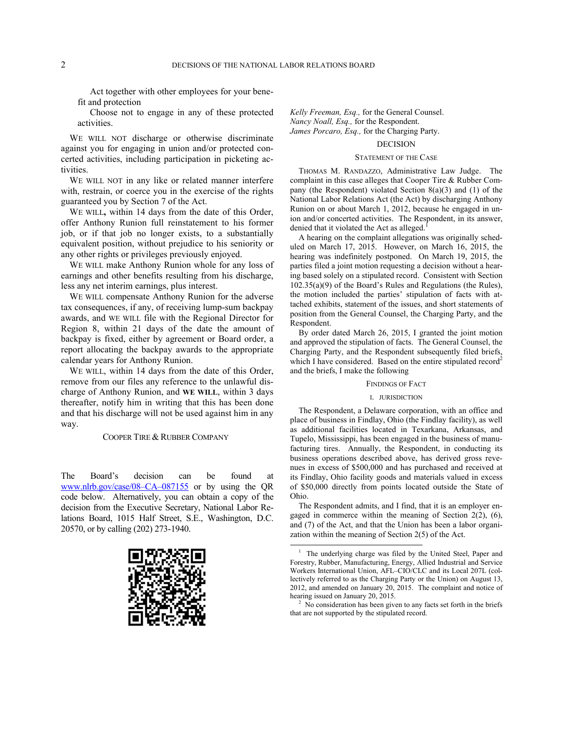Act together with other employees for your benefit and protection

Choose not to engage in any of these protected activities.

WE WILL NOT discharge or otherwise discriminate against you for engaging in union and/or protected concerted activities, including participation in picketing activities.

WE WILL NOT in any like or related manner interfere with, restrain, or coerce you in the exercise of the rights guaranteed you by Section 7 of the Act.

WE WILL**,** within 14 days from the date of this Order, offer Anthony Runion full reinstatement to his former job, or if that job no longer exists, to a substantially equivalent position, without prejudice to his seniority or any other rights or privileges previously enjoyed.

WE WILL make Anthony Runion whole for any loss of earnings and other benefits resulting from his discharge, less any net interim earnings, plus interest.

WE WILL compensate Anthony Runion for the adverse tax consequences, if any, of receiving lump-sum backpay awards, and WE WILL file with the Regional Director for Region 8, within 21 days of the date the amount of backpay is fixed, either by agreement or Board order, a report allocating the backpay awards to the appropriate calendar years for Anthony Runion.

WE WILL, within 14 days from the date of this Order, remove from our files any reference to the unlawful discharge of Anthony Runion, and **WE WILL**, within 3 days thereafter, notify him in writing that this has been done and that his discharge will not be used against him in any way.

COOPER TIRE & RUBBER COMPANY

<span id="page-1-0"></span>The Board's decision can be found at [www.nlrb.gov/case/08–CA–087155](http://www.nlrb.gov/case/08-CA-087155) or by using the QR code below. Alternatively, you can obtain a copy of the decision from the Executive Secretary, National Labor Relations Board, 1015 Half Street, S.E., Washington, D.C. 20570, or by calling (202) 273-1940.

<span id="page-1-1"></span>

*Kelly Freeman, Esq.,* for the General Counsel. *Nancy Noall, Esq.,* for the Respondent. *James Porcaro, Esq.,* for the Charging Party.

# DECISION

### STATEMENT OF THE CASE

THOMAS M. RANDAZZO, Administrative Law Judge. The complaint in this case alleges that Cooper Tire & Rubber Company (the Respondent) violated Section 8(a)(3) and (1) of the National Labor Relations Act (the Act) by discharging Anthony Runion on or about March 1, 2012, because he engaged in union and/or concerted activities. The Respondent, in its answer, denied that it violated the Act as alleged.<sup>[1](#page-1-0)</sup>

A hearing on the complaint allegations was originally scheduled on March 17, 2015. However, on March 16, 2015, the hearing was indefinitely postponed. On March 19, 2015, the parties filed a joint motion requesting a decision without a hearing based solely on a stipulated record. Consistent with Section 102.35(a)(9) of the Board's Rules and Regulations (the Rules), the motion included the parties' stipulation of facts with attached exhibits, statement of the issues, and short statements of position from the General Counsel, the Charging Party, and the **Respondent** 

By order dated March 26, 2015, I granted the joint motion and approved the stipulation of facts. The General Counsel, the Charging Party, and the Respondent subsequently filed briefs, which I have considered. Based on the entire stipulated record<sup>[2](#page-1-1)</sup> and the briefs, I make the following

#### FINDINGS OF FACT

#### I. JURISDICTION

The Respondent, a Delaware corporation, with an office and place of business in Findlay, Ohio (the Findlay facility), as well as additional facilities located in Texarkana, Arkansas, and Tupelo, Mississippi, has been engaged in the business of manufacturing tires. Annually, the Respondent, in conducting its business operations described above, has derived gross revenues in excess of \$500,000 and has purchased and received at its Findlay, Ohio facility goods and materials valued in excess of \$50,000 directly from points located outside the State of Ohio.

The Respondent admits, and I find, that it is an employer engaged in commerce within the meaning of Section 2(2), (6), and (7) of the Act, and that the Union has been a labor organization within the meaning of Section 2(5) of the Act.

l

<sup>2</sup> No consideration has been given to any facts set forth in the briefs that are not supported by the stipulated record.

<sup>&</sup>lt;sup>1</sup> The underlying charge was filed by the United Steel, Paper and Forestry, Rubber, Manufacturing, Energy, Allied Industrial and Service Workers International Union, AFL–CIO/CLC and its Local 207L (collectively referred to as the Charging Party or the Union) on August 13, 2012, and amended on January 20, 2015. The complaint and notice of hearing issued on January 20, 2015.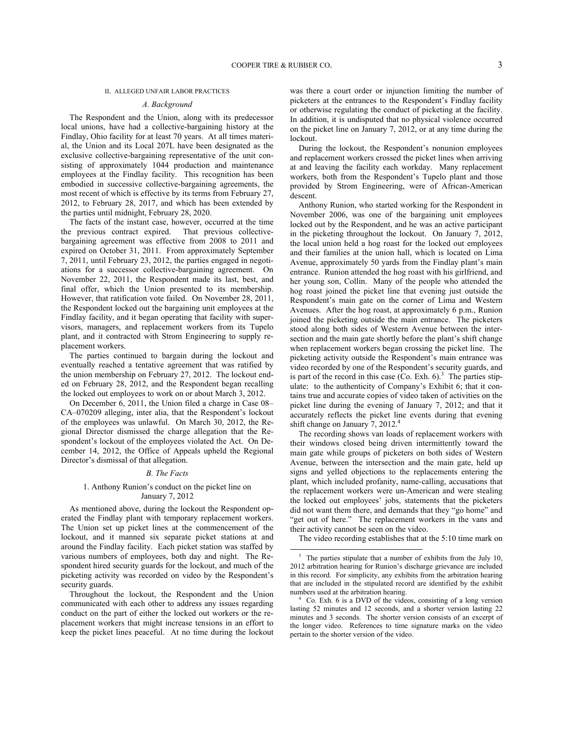$\overline{a}$ 

#### II. ALLEGED UNFAIR LABOR PRACTICES

#### *A. Background*

The Respondent and the Union, along with its predecessor local unions, have had a collective-bargaining history at the Findlay, Ohio facility for at least 70 years. At all times material, the Union and its Local 207L have been designated as the exclusive collective-bargaining representative of the unit consisting of approximately 1044 production and maintenance employees at the Findlay facility. This recognition has been embodied in successive collective-bargaining agreements, the most recent of which is effective by its terms from February 27, 2012, to February 28, 2017, and which has been extended by the parties until midnight, February 28, 2020.

The facts of the instant case, however, occurred at the time the previous contract expired. That previous collectivebargaining agreement was effective from 2008 to 2011 and expired on October 31, 2011. From approximately September 7, 2011, until February 23, 2012, the parties engaged in negotiations for a successor collective-bargaining agreement. On November 22, 2011, the Respondent made its last, best, and final offer, which the Union presented to its membership. However, that ratification vote failed. On November 28, 2011, the Respondent locked out the bargaining unit employees at the Findlay facility, and it began operating that facility with supervisors, managers, and replacement workers from its Tupelo plant, and it contracted with Strom Engineering to supply replacement workers.

The parties continued to bargain during the lockout and eventually reached a tentative agreement that was ratified by the union membership on February 27, 2012. The lockout ended on February 28, 2012, and the Respondent began recalling the locked out employees to work on or about March 3, 2012.

On December 6, 2011, the Union filed a charge in Case 08– CA–070209 alleging, inter alia, that the Respondent's lockout of the employees was unlawful. On March 30, 2012, the Regional Director dismissed the charge allegation that the Respondent's lockout of the employees violated the Act. On December 14, 2012, the Office of Appeals upheld the Regional Director's dismissal of that allegation.

#### *B. The Facts*

## 1. Anthony Runion's conduct on the picket line on January 7, 2012

As mentioned above, during the lockout the Respondent operated the Findlay plant with temporary replacement workers. The Union set up picket lines at the commencement of the lockout, and it manned six separate picket stations at and around the Findlay facility. Each picket station was staffed by various numbers of employees, both day and night. The Respondent hired security guards for the lockout, and much of the picketing activity was recorded on video by the Respondent's security guards.

<span id="page-2-1"></span><span id="page-2-0"></span>Throughout the lockout, the Respondent and the Union communicated with each other to address any issues regarding conduct on the part of either the locked out workers or the replacement workers that might increase tensions in an effort to keep the picket lines peaceful. At no time during the lockout

was there a court order or injunction limiting the number of picketers at the entrances to the Respondent's Findlay facility or otherwise regulating the conduct of picketing at the facility. In addition, it is undisputed that no physical violence occurred on the picket line on January 7, 2012, or at any time during the lockout.

During the lockout, the Respondent's nonunion employees and replacement workers crossed the picket lines when arriving at and leaving the facility each workday. Many replacement workers, both from the Respondent's Tupelo plant and those provided by Strom Engineering, were of African-American descent.

Anthony Runion, who started working for the Respondent in November 2006, was one of the bargaining unit employees locked out by the Respondent, and he was an active participant in the picketing throughout the lockout. On January 7, 2012, the local union held a hog roast for the locked out employees and their families at the union hall, which is located on Lima Avenue, approximately 50 yards from the Findlay plant's main entrance. Runion attended the hog roast with his girlfriend, and her young son, Collin. Many of the people who attended the hog roast joined the picket line that evening just outside the Respondent's main gate on the corner of Lima and Western Avenues. After the hog roast, at approximately 6 p.m., Runion joined the picketing outside the main entrance. The picketers stood along both sides of Western Avenue between the intersection and the main gate shortly before the plant's shift change when replacement workers began crossing the picket line. The picketing activity outside the Respondent's main entrance was video recorded by one of the Respondent's security guards, and is part of the record in this case  $(Co.$  Exh.  $6)^3$  $6)^3$  The parties stipulate: to the authenticity of Company's Exhibit 6; that it contains true and accurate copies of video taken of activities on the picket line during the evening of January 7, 2012; and that it accurately reflects the picket line events during that evening shift change on January 7, 2012.<sup>[4](#page-2-1)</sup>

The recording shows van loads of replacement workers with their windows closed being driven intermittently toward the main gate while groups of picketers on both sides of Western Avenue, between the intersection and the main gate, held up signs and yelled objections to the replacements entering the plant, which included profanity, name-calling, accusations that the replacement workers were un-American and were stealing the locked out employees' jobs, statements that the picketers did not want them there, and demands that they "go home" and "get out of here." The replacement workers in the vans and their activity cannot be seen on the video.

The video recording establishes that at the 5:10 time mark on

<sup>&</sup>lt;sup>3</sup> The parties stipulate that a number of exhibits from the July 10, 2012 arbitration hearing for Runion's discharge grievance are included in this record. For simplicity, any exhibits from the arbitration hearing that are included in the stipulated record are identified by the exhibit numbers used at the arbitration hearing.

<sup>4</sup> Co. Exh. 6 is a DVD of the videos, consisting of a long version lasting 52 minutes and 12 seconds, and a shorter version lasting 22 minutes and 3 seconds. The shorter version consists of an excerpt of the longer video. References to time signature marks on the video pertain to the shorter version of the video.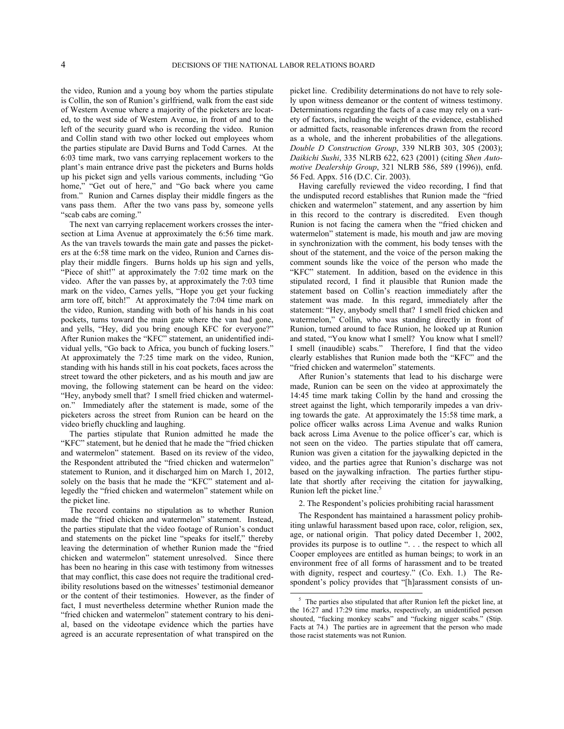the video, Runion and a young boy whom the parties stipulate is Collin, the son of Runion's girlfriend, walk from the east side of Western Avenue where a majority of the picketers are located, to the west side of Western Avenue, in front of and to the left of the security guard who is recording the video. Runion and Collin stand with two other locked out employees whom the parties stipulate are David Burns and Todd Carnes. At the 6:03 time mark, two vans carrying replacement workers to the plant's main entrance drive past the picketers and Burns holds up his picket sign and yells various comments, including "Go home," "Get out of here," and "Go back where you came from." Runion and Carnes display their middle fingers as the vans pass them. After the two vans pass by, someone yells "scab cabs are coming."

The next van carrying replacement workers crosses the intersection at Lima Avenue at approximately the 6:56 time mark. As the van travels towards the main gate and passes the picketers at the 6:58 time mark on the video, Runion and Carnes display their middle fingers. Burns holds up his sign and yells, "Piece of shit!" at approximately the 7:02 time mark on the video. After the van passes by, at approximately the 7:03 time mark on the video, Carnes yells, "Hope you get your fucking arm tore off, bitch!" At approximately the 7:04 time mark on the video, Runion, standing with both of his hands in his coat pockets, turns toward the main gate where the van had gone, and yells, "Hey, did you bring enough KFC for everyone?" After Runion makes the "KFC" statement, an unidentified individual yells, "Go back to Africa, you bunch of fucking losers." At approximately the 7:25 time mark on the video, Runion, standing with his hands still in his coat pockets, faces across the street toward the other picketers, and as his mouth and jaw are moving, the following statement can be heard on the video: "Hey, anybody smell that? I smell fried chicken and watermelon." Immediately after the statement is made, some of the picketers across the street from Runion can be heard on the video briefly chuckling and laughing.

The parties stipulate that Runion admitted he made the "KFC" statement, but he denied that he made the "fried chicken and watermelon" statement. Based on its review of the video, the Respondent attributed the "fried chicken and watermelon" statement to Runion, and it discharged him on March 1, 2012, solely on the basis that he made the "KFC" statement and allegedly the "fried chicken and watermelon" statement while on the picket line.

<span id="page-3-0"></span>The record contains no stipulation as to whether Runion made the "fried chicken and watermelon" statement. Instead, the parties stipulate that the video footage of Runion's conduct and statements on the picket line "speaks for itself," thereby leaving the determination of whether Runion made the "fried chicken and watermelon" statement unresolved. Since there has been no hearing in this case with testimony from witnesses that may conflict, this case does not require the traditional credibility resolutions based on the witnesses' testimonial demeanor or the content of their testimonies. However, as the finder of fact, I must nevertheless determine whether Runion made the "fried chicken and watermelon" statement contrary to his denial, based on the videotape evidence which the parties have agreed is an accurate representation of what transpired on the

picket line. Credibility determinations do not have to rely solely upon witness demeanor or the content of witness testimony. Determinations regarding the facts of a case may rely on a variety of factors, including the weight of the evidence, established or admitted facts, reasonable inferences drawn from the record as a whole, and the inherent probabilities of the allegations. *Double D Construction Group*, 339 NLRB 303, 305 (2003); *Daikichi Sushi*, 335 NLRB 622, 623 (2001) (citing *Shen Automotive Dealership Group*, 321 NLRB 586, 589 (1996)), enfd. 56 Fed. Appx. 516 (D.C. Cir. 2003).

Having carefully reviewed the video recording, I find that the undisputed record establishes that Runion made the "fried chicken and watermelon" statement, and any assertion by him in this record to the contrary is discredited. Even though Runion is not facing the camera when the "fried chicken and watermelon" statement is made, his mouth and jaw are moving in synchronization with the comment, his body tenses with the shout of the statement, and the voice of the person making the comment sounds like the voice of the person who made the "KFC" statement. In addition, based on the evidence in this stipulated record, I find it plausible that Runion made the statement based on Collin's reaction immediately after the statement was made. In this regard, immediately after the statement: "Hey, anybody smell that? I smell fried chicken and watermelon," Collin, who was standing directly in front of Runion, turned around to face Runion, he looked up at Runion and stated, "You know what I smell? You know what I smell? I smell (inaudible) scabs." Therefore, I find that the video clearly establishes that Runion made both the "KFC" and the "fried chicken and watermelon" statements.

After Runion's statements that lead to his discharge were made, Runion can be seen on the video at approximately the 14:45 time mark taking Collin by the hand and crossing the street against the light, which temporarily impedes a van driving towards the gate. At approximately the 15:58 time mark, a police officer walks across Lima Avenue and walks Runion back across Lima Avenue to the police officer's car, which is not seen on the video. The parties stipulate that off camera, Runion was given a citation for the jaywalking depicted in the video, and the parties agree that Runion's discharge was not based on the jaywalking infraction. The parties further stipulate that shortly after receiving the citation for jaywalking, Runion left the picket line.<sup>[5](#page-3-0)</sup>

2. The Respondent's policies prohibiting racial harassment

The Respondent has maintained a harassment policy prohibiting unlawful harassment based upon race, color, religion, sex, age, or national origin. That policy dated December 1, 2002, provides its purpose is to outline ". . . the respect to which all Cooper employees are entitled as human beings; to work in an environment free of all forms of harassment and to be treated with dignity, respect and courtesy." (Co. Exh. 1.) The Respondent's policy provides that "[h]arassment consists of un-

l

<sup>&</sup>lt;sup>5</sup> The parties also stipulated that after Runion left the picket line, at the 16:27 and 17:29 time marks, respectively, an unidentified person shouted, "fucking monkey scabs" and "fucking nigger scabs." (Stip. Facts at 74.) The parties are in agreement that the person who made those racist statements was not Runion.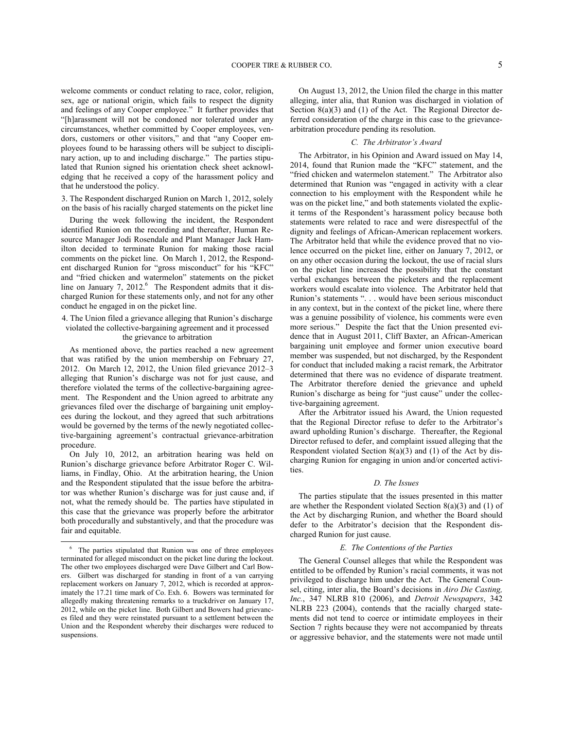welcome comments or conduct relating to race, color, religion, sex, age or national origin, which fails to respect the dignity and feelings of any Cooper employee." It further provides that "[h]arassment will not be condoned nor tolerated under any circumstances, whether committed by Cooper employees, vendors, customers or other visitors," and that "any Cooper employees found to be harassing others will be subject to disciplinary action, up to and including discharge." The parties stipulated that Runion signed his orientation check sheet acknowledging that he received a copy of the harassment policy and that he understood the policy.

3. The Respondent discharged Runion on March 1, 2012, solely on the basis of his racially charged statements on the picket line

During the week following the incident, the Respondent identified Runion on the recording and thereafter, Human Resource Manager Jodi Rosendale and Plant Manager Jack Hamilton decided to terminate Runion for making those racial comments on the picket line. On March 1, 2012, the Respondent discharged Runion for "gross misconduct" for his "KFC" and "fried chicken and watermelon" statements on the picket line on January 7, 2012.<sup>[6](#page-4-0)</sup> The Respondent admits that it discharged Runion for these statements only, and not for any other conduct he engaged in on the picket line.

## 4. The Union filed a grievance alleging that Runion's discharge violated the collective-bargaining agreement and it processed the grievance to arbitration

As mentioned above, the parties reached a new agreement that was ratified by the union membership on February 27, 2012. On March 12, 2012, the Union filed grievance 2012–3 alleging that Runion's discharge was not for just cause, and therefore violated the terms of the collective-bargaining agreement. The Respondent and the Union agreed to arbitrate any grievances filed over the discharge of bargaining unit employees during the lockout, and they agreed that such arbitrations would be governed by the terms of the newly negotiated collective-bargaining agreement's contractual grievance-arbitration procedure.

On July 10, 2012, an arbitration hearing was held on Runion's discharge grievance before Arbitrator Roger C. Williams, in Findlay, Ohio. At the arbitration hearing, the Union and the Respondent stipulated that the issue before the arbitrator was whether Runion's discharge was for just cause and, if not, what the remedy should be. The parties have stipulated in this case that the grievance was properly before the arbitrator both procedurally and substantively, and that the procedure was fair and equitable.

-

On August 13, 2012, the Union filed the charge in this matter alleging, inter alia, that Runion was discharged in violation of Section 8(a)(3) and (1) of the Act. The Regional Director deferred consideration of the charge in this case to the grievancearbitration procedure pending its resolution.

### *C. The Arbitrator's Award*

The Arbitrator, in his Opinion and Award issued on May 14, 2014, found that Runion made the "KFC" statement, and the "fried chicken and watermelon statement." The Arbitrator also determined that Runion was "engaged in activity with a clear connection to his employment with the Respondent while he was on the picket line," and both statements violated the explicit terms of the Respondent's harassment policy because both statements were related to race and were disrespectful of the dignity and feelings of African-American replacement workers. The Arbitrator held that while the evidence proved that no violence occurred on the picket line, either on January 7, 2012, or on any other occasion during the lockout, the use of racial slurs on the picket line increased the possibility that the constant verbal exchanges between the picketers and the replacement workers would escalate into violence. The Arbitrator held that Runion's statements ". . . would have been serious misconduct in any context, but in the context of the picket line, where there was a genuine possibility of violence, his comments were even more serious." Despite the fact that the Union presented evidence that in August 2011, Cliff Baxter, an African-American bargaining unit employee and former union executive board member was suspended, but not discharged, by the Respondent for conduct that included making a racist remark, the Arbitrator determined that there was no evidence of disparate treatment. The Arbitrator therefore denied the grievance and upheld Runion's discharge as being for "just cause" under the collective-bargaining agreement.

After the Arbitrator issued his Award, the Union requested that the Regional Director refuse to defer to the Arbitrator's award upholding Runion's discharge. Thereafter, the Regional Director refused to defer, and complaint issued alleging that the Respondent violated Section 8(a)(3) and (1) of the Act by discharging Runion for engaging in union and/or concerted activities.

### *D. The Issues*

The parties stipulate that the issues presented in this matter are whether the Respondent violated Section  $8(a)(3)$  and  $(1)$  of the Act by discharging Runion, and whether the Board should defer to the Arbitrator's decision that the Respondent discharged Runion for just cause.

### *E. The Contentions of the Parties*

The General Counsel alleges that while the Respondent was entitled to be offended by Runion's racial comments, it was not privileged to discharge him under the Act. The General Counsel, citing, inter alia, the Board's decisions in *Airo Die Casting, Inc.*, 347 NLRB 810 (2006), and *Detroit Newspapers*, 342 NLRB 223 (2004), contends that the racially charged statements did not tend to coerce or intimidate employees in their Section 7 rights because they were not accompanied by threats or aggressive behavior, and the statements were not made until

<span id="page-4-0"></span><sup>&</sup>lt;sup>6</sup> The parties stipulated that Runion was one of three employees terminated for alleged misconduct on the picket line during the lockout. The other two employees discharged were Dave Gilbert and Carl Bowers. Gilbert was discharged for standing in front of a van carrying replacement workers on January 7, 2012, which is recorded at approximately the 17.21 time mark of Co. Exh. 6. Bowers was terminated for allegedly making threatening remarks to a truckdriver on January 17, 2012, while on the picket line. Both Gilbert and Bowers had grievances filed and they were reinstated pursuant to a settlement between the Union and the Respondent whereby their discharges were reduced to suspensions.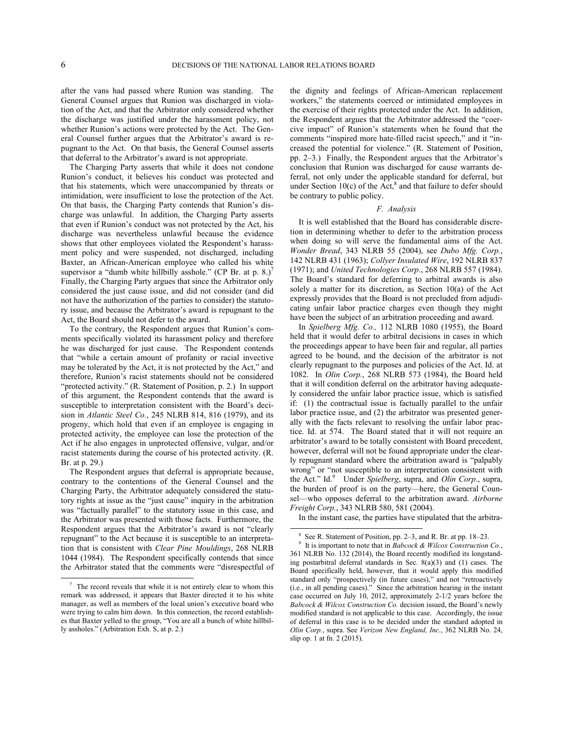<span id="page-5-2"></span><span id="page-5-1"></span>-

after the vans had passed where Runion was standing. The General Counsel argues that Runion was discharged in violation of the Act, and that the Arbitrator only considered whether the discharge was justified under the harassment policy, not whether Runion's actions were protected by the Act. The General Counsel further argues that the Arbitrator's award is repugnant to the Act. On that basis, the General Counsel asserts that deferral to the Arbitrator's award is not appropriate.

The Charging Party asserts that while it does not condone Runion's conduct, it believes his conduct was protected and that his statements, which were unaccompanied by threats or intimidation, were insufficient to lose the protection of the Act. On that basis, the Charging Party contends that Runion's discharge was unlawful. In addition, the Charging Party asserts that even if Runion's conduct was not protected by the Act, his discharge was nevertheless unlawful because the evidence shows that other employees violated the Respondent's harassment policy and were suspended, not discharged, including Baxter, an African-American employee who called his white supervisor a "dumb white hillbilly asshole." (CP Br. at p.  $8.$ )<sup>[7](#page-5-0)</sup> Finally, the Charging Party argues that since the Arbitrator only considered the just cause issue, and did not consider (and did not have the authorization of the parties to consider) the statutory issue, and because the Arbitrator's award is repugnant to the Act, the Board should not defer to the award.

To the contrary, the Respondent argues that Runion's comments specifically violated its harassment policy and therefore he was discharged for just cause. The Respondent contends that "while a certain amount of profanity or racial invective may be tolerated by the Act, it is not protected by the Act," and therefore, Runion's racist statements should not be considered "protected activity." (R. Statement of Position, p. 2.) In support of this argument, the Respondent contends that the award is susceptible to interpretation consistent with the Board's decision in *Atlantic Steel Co.*, 245 NLRB 814, 816 (1979), and its progeny, which hold that even if an employee is engaging in protected activity, the employee can lose the protection of the Act if he also engages in unprotected offensive, vulgar, and/or racist statements during the course of his protected activity. (R. Br. at p. 29.)

The Respondent argues that deferral is appropriate because, contrary to the contentions of the General Counsel and the Charging Party, the Arbitrator adequately considered the statutory rights at issue as the "just cause" inquiry in the arbitration was "factually parallel" to the statutory issue in this case, and the Arbitrator was presented with those facts. Furthermore, the Respondent argues that the Arbitrator's award is not "clearly repugnant" to the Act because it is susceptible to an interpretation that is consistent with *Clear Pine Mouldings*, 268 NLRB 1044 (1984). The Respondent specifically contends that since the Arbitrator stated that the comments were "disrespectful of the dignity and feelings of African-American replacement workers," the statements coerced or intimidated employees in the exercise of their rights protected under the Act. In addition, the Respondent argues that the Arbitrator addressed the "coercive impact" of Runion's statements when he found that the comments "inspired more hate-filled racist speech," and it "increased the potential for violence." (R. Statement of Position, pp. 2–3.) Finally, the Respondent argues that the Arbitrator's conclusion that Runion was discharged for cause warrants deferral, not only under the applicable standard for deferral, but under Section  $10(c)$  of the Act,<sup>[8](#page-5-1)</sup> and that failure to defer should be contrary to public policy.

#### *F. Analysis*

It is well established that the Board has considerable discretion in determining whether to defer to the arbitration process when doing so will serve the fundamental aims of the Act. *Wonder Bread*, 343 NLRB 55 (2004), see *Dubo Mfg. Corp.*, 142 NLRB 431 (1963); *Collyer Insulated Wire*, 192 NLRB 837 (1971); and *United Technologies Corp*., 268 NLRB 557 (1984). The Board's standard for deferring to arbitral awards is also solely a matter for its discretion, as Section 10(a) of the Act expressly provides that the Board is not precluded from adjudicating unfair labor practice charges even though they might have been the subject of an arbitration proceeding and award.

In *Spielberg Mfg. Co.,* 112 NLRB 1080 (1955), the Board held that it would defer to arbitral decisions in cases in which the proceedings appear to have been fair and regular, all parties agreed to be bound, and the decision of the arbitrator is not clearly repugnant to the purposes and policies of the Act. Id. at 1082. In *Olin Corp.*, 268 NLRB 573 (1984), the Board held that it will condition deferral on the arbitrator having adequately considered the unfair labor practice issue, which is satisfied if: (1) the contractual issue is factually parallel to the unfair labor practice issue, and (2) the arbitrator was presented generally with the facts relevant to resolving the unfair labor practice. Id. at 574. The Board stated that it will not require an arbitrator's award to be totally consistent with Board precedent, however, deferral will not be found appropriate under the clearly repugnant standard where the arbitration award is "palpably wrong" or "not susceptible to an interpretation consistent with the Act." Id.[9](#page-5-2) Under *Spielberg*, supra, and *Olin Corp*., supra, the burden of proof is on the party—here, the General Counsel—who opposes deferral to the arbitration award. *Airborne Freight Corp.*, 343 NLRB 580, 581 (2004).

In the instant case, the parties have stipulated that the arbitra-

 $\overline{\phantom{a}}$ 

<span id="page-5-0"></span><sup>&</sup>lt;sup>7</sup> The record reveals that while it is not entirely clear to whom this remark was addressed, it appears that Baxter directed it to his white manager, as well as members of the local union's executive board who were trying to calm him down. In this connection, the record establishes that Baxter yelled to the group, "You are all a bunch of white hillbilly assholes." (Arbitration Exh. S, at p. 2.)

<sup>8</sup> See R. Statement of Position, pp. 2–3, and R. Br. at pp. 18–23.

<sup>9</sup> It is important to note that in *Babcock & Wilcox Construction Co.*, 361 NLRB No. 132 (2014), the Board recently modified its longstanding postarbitral deferral standards in Sec. 8(a)(3) and (1) cases. The Board specifically held, however, that it would apply this modified standard only "prospectively (in future cases)," and not "retroactively (i.e., in all pending cases)." Since the arbitration hearing in the instant case occurred on July 10, 2012, approximately 2-1/2 years before the *Babcock & Wilcox Construction Co.* decision issued, the Board's newly modified standard is not applicable to this case. Accordingly, the issue of deferral in this case is to be decided under the standard adopted in *Olin Corp.*, supra. See *Verizon New England, Inc*., 362 NLRB No. 24, slip op. 1 at fn. 2 (2015).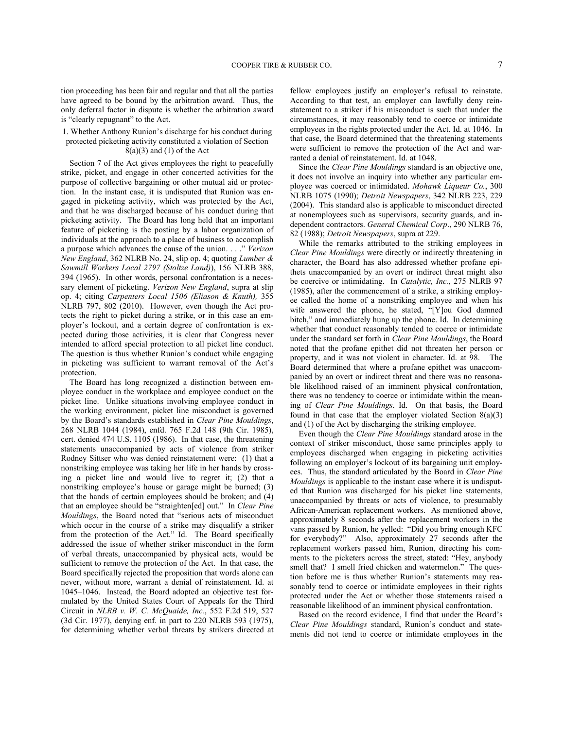tion proceeding has been fair and regular and that all the parties have agreed to be bound by the arbitration award. Thus, the only deferral factor in dispute is whether the arbitration award is "clearly repugnant" to the Act.

## 1. Whether Anthony Runion's discharge for his conduct during protected picketing activity constituted a violation of Section  $8(a)(3)$  and  $(1)$  of the Act

Section 7 of the Act gives employees the right to peacefully strike, picket, and engage in other concerted activities for the purpose of collective bargaining or other mutual aid or protection. In the instant case, it is undisputed that Runion was engaged in picketing activity, which was protected by the Act, and that he was discharged because of his conduct during that picketing activity. The Board has long held that an important feature of picketing is the posting by a labor organization of individuals at the approach to a place of business to accomplish a purpose which advances the cause of the union. . . ." *Verizon New England*, 362 NLRB No. 24, slip op. 4; quoting *Lumber & Sawmill Workers Local 2797 (Stoltze Land)*), 156 NLRB 388, 394 (1965). In other words, personal confrontation is a necessary element of picketing. *Verizon New England*, supra at slip op. 4; citing *Carpenters Local 1506 (Eliason & Knuth),* 355 NLRB 797, 802 (2010). However, even though the Act protects the right to picket during a strike, or in this case an employer's lockout, and a certain degree of confrontation is expected during those activities, it is clear that Congress never intended to afford special protection to all picket line conduct. The question is thus whether Runion's conduct while engaging in picketing was sufficient to warrant removal of the Act's protection.

The Board has long recognized a distinction between employee conduct in the workplace and employee conduct on the picket line. Unlike situations involving employee conduct in the working environment, picket line misconduct is governed by the Board's standards established in *Clear Pine Mouldings*, 268 NLRB 1044 (1984), enfd. 765 F.2d 148 (9th Cir. 1985), cert. denied 474 U.S. 1105 (1986). In that case, the threatening statements unaccompanied by acts of violence from striker Rodney Sittser who was denied reinstatement were: (1) that a nonstriking employee was taking her life in her hands by crossing a picket line and would live to regret it; (2) that a nonstriking employee's house or garage might be burned; (3) that the hands of certain employees should be broken; and (4) that an employee should be "straighten[ed] out." In *Clear Pine Mouldings*, the Board noted that "serious acts of misconduct which occur in the course of a strike may disqualify a striker from the protection of the Act." Id. The Board specifically addressed the issue of whether striker misconduct in the form of verbal threats, unaccompanied by physical acts, would be sufficient to remove the protection of the Act. In that case, the Board specifically rejected the proposition that words alone can never, without more, warrant a denial of reinstatement. Id. at 1045–1046. Instead, the Board adopted an objective test formulated by the United States Court of Appeals for the Third Circuit in *NLRB v. W. C. McQuaide, Inc.*, 552 F.2d 519, 527 (3d Cir. 1977), denying enf. in part to 220 NLRB 593 (1975), for determining whether verbal threats by strikers directed at fellow employees justify an employer's refusal to reinstate. According to that test, an employer can lawfully deny reinstatement to a striker if his misconduct is such that under the circumstances, it may reasonably tend to coerce or intimidate employees in the rights protected under the Act. Id. at 1046. In that case, the Board determined that the threatening statements were sufficient to remove the protection of the Act and warranted a denial of reinstatement. Id. at 1048.

Since the *Clear Pine Mouldings* standard is an objective one, it does not involve an inquiry into whether any particular employee was coerced or intimidated. *Mohawk Liqueur Co.*, 300 NLRB 1075 (1990); *Detroit Newspapers*, 342 NLRB 223, 229 (2004). This standard also is applicable to misconduct directed at nonemployees such as supervisors, security guards, and independent contractors. *General Chemical Corp*., 290 NLRB 76, 82 (1988); *Detroit Newspapers*, supra at 229.

While the remarks attributed to the striking employees in *Clear Pine Mouldings* were directly or indirectly threatening in character, the Board has also addressed whether profane epithets unaccompanied by an overt or indirect threat might also be coercive or intimidating. In *Catalytic, Inc.*, 275 NLRB 97 (1985), after the commencement of a strike, a striking employee called the home of a nonstriking employee and when his wife answered the phone, he stated, "[Y]ou God damned bitch," and immediately hung up the phone. Id. In determining whether that conduct reasonably tended to coerce or intimidate under the standard set forth in *Clear Pine Mouldings*, the Board noted that the profane epithet did not threaten her person or property, and it was not violent in character. Id. at 98. The Board determined that where a profane epithet was unaccompanied by an overt or indirect threat and there was no reasonable likelihood raised of an imminent physical confrontation, there was no tendency to coerce or intimidate within the meaning of *Clear Pine Mouldings*. Id. On that basis, the Board found in that case that the employer violated Section  $8(a)(3)$ and (1) of the Act by discharging the striking employee.

Even though the *Clear Pine Mouldings* standard arose in the context of striker misconduct, those same principles apply to employees discharged when engaging in picketing activities following an employer's lockout of its bargaining unit employees. Thus, the standard articulated by the Board in *Clear Pine Mouldings* is applicable to the instant case where it is undisputed that Runion was discharged for his picket line statements, unaccompanied by threats or acts of violence, to presumably African-American replacement workers. As mentioned above, approximately 8 seconds after the replacement workers in the vans passed by Runion, he yelled: "Did you bring enough KFC for everybody?" Also, approximately 27 seconds after the replacement workers passed him, Runion, directing his comments to the picketers across the street, stated: "Hey, anybody smell that? I smell fried chicken and watermelon." The question before me is thus whether Runion's statements may reasonably tend to coerce or intimidate employees in their rights protected under the Act or whether those statements raised a reasonable likelihood of an imminent physical confrontation.

Based on the record evidence, I find that under the Board's *Clear Pine Mouldings* standard, Runion's conduct and statements did not tend to coerce or intimidate employees in the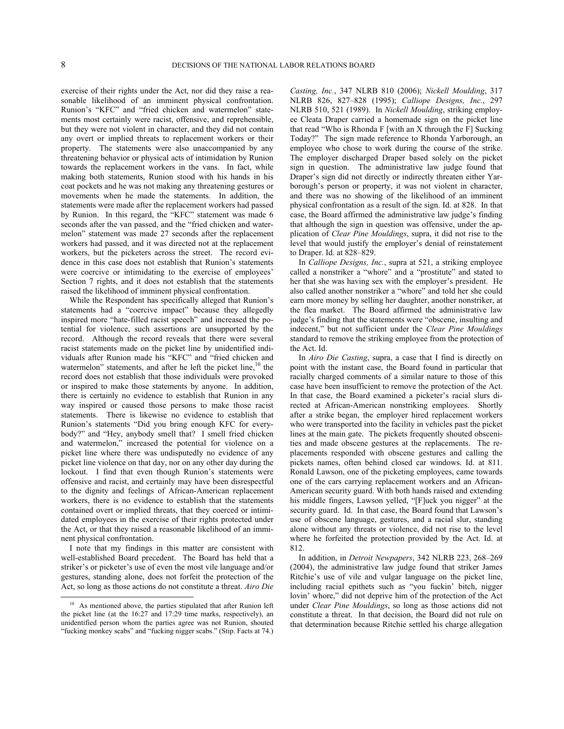-

exercise of their rights under the Act, nor did they raise a reasonable likelihood of an imminent physical confrontation. Runion's "KFC" and "fried chicken and watermelon" statements most certainly were racist, offensive, and reprehensible, but they were not violent in character, and they did not contain any overt or implied threats to replacement workers or their property. The statements were also unaccompanied by any threatening behavior or physical acts of intimidation by Runion towards the replacement workers in the vans. In fact, while making both statements, Runion stood with his hands in his coat pockets and he was not making any threatening gestures or movements when he made the statements. In addition, the statements were made after the replacement workers had passed by Runion. In this regard, the "KFC" statement was made 6 seconds after the van passed, and the "fried chicken and watermelon" statement was made 27 seconds after the replacement workers had passed, and it was directed not at the replacement workers, but the picketers across the street. The record evidence in this case does not establish that Runion's statements were coercive or intimidating to the exercise of employees' Section 7 rights, and it does not establish that the statements raised the likelihood of imminent physical confrontation.

While the Respondent has specifically alleged that Runion's statements had a "coercive impact" because they allegedly inspired more "hate-filled racist speech" and increased the potential for violence, such assertions are unsupported by the record. Although the record reveals that there were several racist statements made on the picket line by unidentified individuals after Runion made his "KFC" and "fried chicken and watermelon" statements, and after he left the picket line.<sup>[10](#page-7-0)</sup> the record does not establish that those individuals were provoked or inspired to make those statements by anyone. In addition, there is certainly no evidence to establish that Runion in any way inspired or caused those persons to make those racist statements. There is likewise no evidence to establish that Runion's statements "Did you bring enough KFC for everybody?" and "Hey, anybody smell that? I smell fried chicken and watermelon," increased the potential for violence on a picket line where there was undisputedly no evidence of any picket line violence on that day, nor on any other day during the lockout. I find that even though Runion's statements were offensive and racist, and certainly may have been disrespectful to the dignity and feelings of African-American replacement workers, there is no evidence to establish that the statements contained overt or implied threats, that they coerced or intimidated employees in the exercise of their rights protected under the Act, or that they raised a reasonable likelihood of an imminent physical confrontation.

I note that my findings in this matter are consistent with well-established Board precedent. The Board has held that a striker's or picketer's use of even the most vile language and/or gestures, standing alone, does not forfeit the protection of the Act, so long as those actions do not constitute a threat. *Airo Die* 

*Casting, Inc.*, 347 NLRB 810 (2006); *Nickell Moulding*, 317 NLRB 826, 827–828 (1995); *Calliope Designs, Inc.*, 297 NLRB 510, 521 (1989). In *Nickell Moulding*, striking employee Cleata Draper carried a homemade sign on the picket line that read "Who is Rhonda F [with an X through the F] Sucking Today?" The sign made reference to Rhonda Yarborough, an employee who chose to work during the course of the strike. The employer discharged Draper based solely on the picket sign in question. The administrative law judge found that Draper's sign did not directly or indirectly threaten either Yarborough's person or property, it was not violent in character, and there was no showing of the likelihood of an imminent physical confrontation as a result of the sign. Id. at 828. In that case, the Board affirmed the administrative law judge's finding that although the sign in question was offensive, under the application of *Clear Pine Mouldings*, supra, it did not rise to the level that would justify the employer's denial of reinstatement to Draper. Id. at 828–829.

In *Calliope Designs, Inc.*, supra at 521, a striking employee called a nonstriker a "whore" and a "prostitute" and stated to her that she was having sex with the employer's president. He also called another nonstriker a "whore" and told her she could earn more money by selling her daughter, another nonstriker, at the flea market. The Board affirmed the administrative law judge's finding that the statements were "obscene, insulting and indecent," but not sufficient under the *Clear Pine Mouldings* standard to remove the striking employee from the protection of the Act. Id.

In *Airo Die Casting*, supra, a case that I find is directly on point with the instant case, the Board found in particular that racially charged comments of a similar nature to those of this case have been insufficient to remove the protection of the Act. In that case, the Board examined a picketer's racial slurs directed at African-American nonstriking employees. Shortly after a strike began, the employer hired replacement workers who were transported into the facility in vehicles past the picket lines at the main gate. The pickets frequently shouted obscenities and made obscene gestures at the replacements. The replacements responded with obscene gestures and calling the pickets names, often behind closed car windows. Id. at 811. Ronald Lawson, one of the picketing employees, came towards one of the cars carrying replacement workers and an African-American security guard. With both hands raised and extending his middle fingers, Lawson yelled, "[F]uck you nigger" at the security guard. Id. In that case, the Board found that Lawson's use of obscene language, gestures, and a racial slur, standing alone without any threats or violence, did not rise to the level where he forfeited the protection provided by the Act. Id. at 812.

In addition, in *Detroit Newpapers*, 342 NLRB 223, 268–269 (2004), the administrative law judge found that striker James Ritchie's use of vile and vulgar language on the picket line, including racial epithets such as "you fuckin' bitch, nigger lovin' whore," did not deprive him of the protection of the Act under *Clear Pine Mouldings*, so long as those actions did not constitute a threat. In that decision, the Board did not rule on that determination because Ritchie settled his charge allegation

<span id="page-7-0"></span><sup>&</sup>lt;sup>10</sup> As mentioned above, the parties stipulated that after Runion left the picket line (at the 16:27 and 17:29 time marks, respectively), an unidentified person whom the parties agree was not Runion, shouted "fucking monkey scabs" and "fucking nigger scabs." (Stip. Facts at 74.)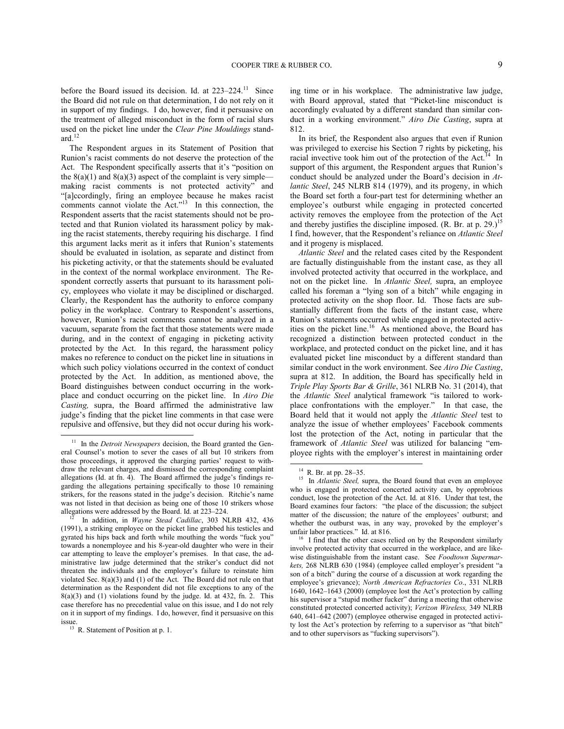before the Board issued its decision. Id. at 223–224.<sup>[11](#page-8-0)</sup> Since the Board did not rule on that determination, I do not rely on it in support of my findings. I do, however, find it persuasive on the treatment of alleged misconduct in the form of racial slurs used on the picket line under the *Clear Pine Mouldings* standard. $12$ 

The Respondent argues in its Statement of Position that Runion's racist comments do not deserve the protection of the Act. The Respondent specifically asserts that it's "position on the  $8(a)(1)$  and  $8(a)(3)$  aspect of the complaint is very simple making racist comments is not protected activity" and "[a]ccordingly, firing an employee because he makes racist comments cannot violate the Act."<sup>[13](#page-8-2)</sup> In this connection, the Respondent asserts that the racist statements should not be protected and that Runion violated its harassment policy by making the racist statements, thereby requiring his discharge. I find this argument lacks merit as it infers that Runion's statements should be evaluated in isolation, as separate and distinct from his picketing activity, or that the statements should be evaluated in the context of the normal workplace environment. The Respondent correctly asserts that pursuant to its harassment policy, employees who violate it may be disciplined or discharged. Clearly, the Respondent has the authority to enforce company policy in the workplace. Contrary to Respondent's assertions, however, Runion's racist comments cannot be analyzed in a vacuum, separate from the fact that those statements were made during, and in the context of engaging in picketing activity protected by the Act. In this regard, the harassment policy makes no reference to conduct on the picket line in situations in which such policy violations occurred in the context of conduct protected by the Act. In addition, as mentioned above, the Board distinguishes between conduct occurring in the workplace and conduct occurring on the picket line. In *Airo Die Casting,* supra, the Board affirmed the administrative law judge's finding that the picket line comments in that case were repulsive and offensive, but they did not occur during his work-

-

ing time or in his workplace. The administrative law judge, with Board approval, stated that "Picket-line misconduct is accordingly evaluated by a different standard than similar conduct in a working environment." *Airo Die Casting*, supra at 812.

In its brief, the Respondent also argues that even if Runion was privileged to exercise his Section 7 rights by picketing, his racial invective took him out of the protection of the Act.<sup>[14](#page-8-3)</sup> In support of this argument, the Respondent argues that Runion's conduct should be analyzed under the Board's decision in *Atlantic Steel*, 245 NLRB 814 (1979), and its progeny, in which the Board set forth a four-part test for determining whether an employee's outburst while engaging in protected concerted activity removes the employee from the protection of the Act and thereby justifies the discipline imposed. (R. Br. at p. 29.)<sup>[15](#page-8-4)</sup> I find, however, that the Respondent's reliance on *Atlantic Steel* and it progeny is misplaced.

*Atlantic Steel* and the related cases cited by the Respondent are factually distinguishable from the instant case, as they all involved protected activity that occurred in the workplace, and not on the picket line. In *Atlantic Steel,* supra, an employee called his foreman a "lying son of a bitch" while engaging in protected activity on the shop floor. Id. Those facts are substantially different from the facts of the instant case, where Runion's statements occurred while engaged in protected activ-ities on the picket line.<sup>[16](#page-8-5)</sup> As mentioned above, the Board has recognized a distinction between protected conduct in the workplace, and protected conduct on the picket line, and it has evaluated picket line misconduct by a different standard than similar conduct in the work environment. See *Airo Die Casting*, supra at 812. In addition, the Board has specifically held in *Triple Play Sports Bar & Grille*, 361 NLRB No. 31 (2014), that the *Atlantic Steel* analytical framework "is tailored to workplace confrontations with the employer." In that case, the Board held that it would not apply the *Atlantic Steel* test to analyze the issue of whether employees' Facebook comments lost the protection of the Act, noting in particular that the framework of *Atlantic Steel* was utilized for balancing "employee rights with the employer's interest in maintaining order

l

<span id="page-8-4"></span><span id="page-8-3"></span><span id="page-8-0"></span><sup>&</sup>lt;sup>11</sup> In the *Detroit Newspapers* decision, the Board granted the General Counsel's motion to sever the cases of all but 10 strikers from those proceedings, it approved the charging parties' request to withdraw the relevant charges, and dismissed the corresponding complaint allegations (Id. at fn. 4). The Board affirmed the judge's findings regarding the allegations pertaining specifically to those 10 remaining strikers, for the reasons stated in the judge's decision. Ritchie's name was not listed in that decision as being one of those 10 strikers whose allegations were addressed by the Board. Id. at 223–224.<br><sup>12</sup> In addition in *Wayne*, Stead, Cadillac, 202, Ni

<span id="page-8-5"></span><span id="page-8-1"></span>In addition, in *Wayne Stead Cadillac*, 303 NLRB 432, 436 (1991), a striking employee on the picket line grabbed his testicles and gyrated his hips back and forth while mouthing the words "fuck you" towards a nonemployee and his 8-year-old daughter who were in their car attempting to leave the employer's premises. In that case, the administrative law judge determined that the striker's conduct did not threaten the individuals and the employer's failure to reinstate him violated Sec. 8(a)(3) and (1) of the Act. The Board did not rule on that determination as the Respondent did not file exceptions to any of the 8(a)(3) and (1) violations found by the judge. Id. at 432, fn. 2. This case therefore has no precedential value on this issue, and I do not rely on it in support of my findings. I do, however, find it persuasive on this issue.

<span id="page-8-2"></span><sup>&</sup>lt;sup>13</sup> R. Statement of Position at p. 1.

<sup>14</sup> R. Br. at pp. 28–35.

<sup>&</sup>lt;sup>15</sup> In *Atlantic Steel*, supra, the Board found that even an employee who is engaged in protected concerted activity can, by opprobrious conduct, lose the protection of the Act. Id. at 816. Under that test, the Board examines four factors: "the place of the discussion; the subject matter of the discussion; the nature of the employees' outburst; and whether the outburst was, in any way, provoked by the employer's unfair labor practices." Id. at 816.

<sup>16</sup> I find that the other cases relied on by the Respondent similarly involve protected activity that occurred in the workplace, and are likewise distinguishable from the instant case. See *Foodtown Supermarkets,* 268 NLRB 630 (1984) (employee called employer's president "a son of a bitch" during the course of a discussion at work regarding the employee's grievance); *North American Refractories Co*., 331 NLRB 1640, 1642–1643 (2000) (employee lost the Act's protection by calling his supervisor a "stupid mother fucker" during a meeting that otherwise constituted protected concerted activity); *Verizon Wireless,* 349 NLRB 640, 641–642 (2007) (employee otherwise engaged in protected activity lost the Act's protection by referring to a supervisor as "that bitch" and to other supervisors as "fucking supervisors").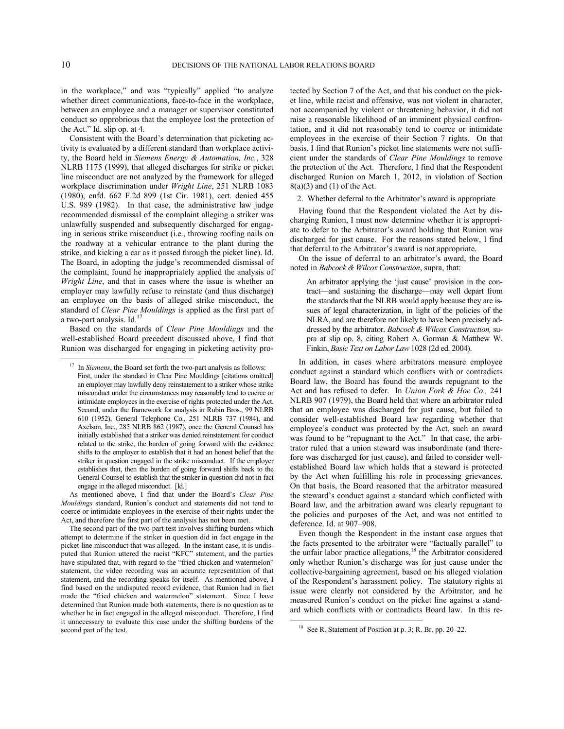<span id="page-9-0"></span>1

in the workplace," and was "typically" applied "to analyze whether direct communications, face-to-face in the workplace, between an employee and a manager or supervisor constituted conduct so opprobrious that the employee lost the protection of the Act." Id. slip op. at 4.

Consistent with the Board's determination that picketing activity is evaluated by a different standard than workplace activity, the Board held in *Siemens Energy & Automation, Inc.*, 328 NLRB 1175 (1999), that alleged discharges for strike or picket line misconduct are not analyzed by the framework for alleged workplace discrimination under *Wright Line*, 251 NLRB 1083 (1980), enfd. 662 F.2d 899 (1st Cir. 1981), cert. denied 455 U.S. 989 (1982). In that case, the administrative law judge recommended dismissal of the complaint alleging a striker was unlawfully suspended and subsequently discharged for engaging in serious strike misconduct (i.e., throwing roofing nails on the roadway at a vehicular entrance to the plant during the strike, and kicking a car as it passed through the picket line). Id. The Board, in adopting the judge's recommended dismissal of the complaint, found he inappropriately applied the analysis of *Wright Line*, and that in cases where the issue is whether an employer may lawfully refuse to reinstate (and thus discharge) an employee on the basis of alleged strike misconduct, the standard of *Clear Pine Mouldings* is applied as the first part of a two-part analysis. Id.<sup>[17](#page-9-0)</sup>

Based on the standards of *Clear Pine Mouldings* and the well-established Board precedent discussed above, I find that Runion was discharged for engaging in picketing activity pro-

As mentioned above, I find that under the Board's *Clear Pine Mouldings* standard, Runion's conduct and statements did not tend to coerce or intimidate employees in the exercise of their rights under the Act, and therefore the first part of the analysis has not been met.

<span id="page-9-1"></span>The second part of the two-part test involves shifting burdens which attempt to determine if the striker in question did in fact engage in the picket line misconduct that was alleged. In the instant case, it is undisputed that Runion uttered the racist "KFC" statement, and the parties have stipulated that, with regard to the "fried chicken and watermelon" statement, the video recording was an accurate representation of that statement, and the recording speaks for itself. As mentioned above, I find based on the undisputed record evidence, that Runion had in fact made the "fried chicken and watermelon" statement. Since I have determined that Runion made both statements, there is no question as to whether he in fact engaged in the alleged misconduct. Therefore, I find it unnecessary to evaluate this case under the shifting burdens of the second part of the test.

tected by Section 7 of the Act, and that his conduct on the picket line, while racist and offensive, was not violent in character, not accompanied by violent or threatening behavior, it did not raise a reasonable likelihood of an imminent physical confrontation, and it did not reasonably tend to coerce or intimidate employees in the exercise of their Section 7 rights. On that basis, I find that Runion's picket line statements were not sufficient under the standards of *Clear Pine Mouldings* to remove the protection of the Act. Therefore, I find that the Respondent discharged Runion on March 1, 2012, in violation of Section  $8(a)(3)$  and  $(1)$  of the Act.

2. Whether deferral to the Arbitrator's award is appropriate

Having found that the Respondent violated the Act by discharging Runion, I must now determine whether it is appropriate to defer to the Arbitrator's award holding that Runion was discharged for just cause. For the reasons stated below, I find that deferral to the Arbitrator's award is not appropriate.

On the issue of deferral to an arbitrator's award, the Board noted in *Babcock & Wilcox Construction*, supra, that:

An arbitrator applying the 'just cause' provision in the contract—and sustaining the discharge—may well depart from the standards that the NLRB would apply because they are issues of legal characterization, in light of the policies of the NLRA, and are therefore not likely to have been precisely addressed by the arbitrator. *Babcock & Wilcox Construction,* supra at slip op. 8, citing Robert A. Gorman & Matthew W. Finkin, *Basic Text on Labor Law* 1028 (2d ed. 2004).

In addition, in cases where arbitrators measure employee conduct against a standard which conflicts with or contradicts Board law, the Board has found the awards repugnant to the Act and has refused to defer. In *Union Fork & Hoe Co.,* 241 NLRB 907 (1979), the Board held that where an arbitrator ruled that an employee was discharged for just cause, but failed to consider well-established Board law regarding whether that employee's conduct was protected by the Act, such an award was found to be "repugnant to the Act." In that case, the arbitrator ruled that a union steward was insubordinate (and therefore was discharged for just cause), and failed to consider wellestablished Board law which holds that a steward is protected by the Act when fulfilling his role in processing grievances. On that basis, the Board reasoned that the arbitrator measured the steward's conduct against a standard which conflicted with Board law, and the arbitration award was clearly repugnant to the policies and purposes of the Act, and was not entitled to deference. Id. at 907–908.

Even though the Respondent in the instant case argues that the facts presented to the arbitrator were "factually parallel" to the unfair labor practice allegations,<sup>[18](#page-9-1)</sup> the Arbitrator considered only whether Runion's discharge was for just cause under the collective-bargaining agreement, based on his alleged violation of the Respondent's harassment policy. The statutory rights at issue were clearly not considered by the Arbitrator, and he measured Runion's conduct on the picket line against a standard which conflicts with or contradicts Board law. In this re-

 $\overline{a}$ 

<sup>&</sup>lt;sup>17</sup> In *Siemens*, the Board set forth the two-part analysis as follows: First, under the standard in Clear Pine Mouldings [citations omitted] an employer may lawfully deny reinstatement to a striker whose strike misconduct under the circumstances may reasonably tend to coerce or intimidate employees in the exercise of rights protected under the Act. Second, under the framework for analysis in Rubin Bros., 99 NLRB 610 (1952), General Telephone Co., 251 NLRB 737 (1984), and Axelson, Inc., 285 NLRB 862 (1987), once the General Counsel has initially established that a striker was denied reinstatement for conduct related to the strike, the burden of going forward with the evidence shifts to the employer to establish that it had an honest belief that the striker in question engaged in the strike misconduct. If the employer establishes that, then the burden of going forward shifts back to the General Counsel to establish that the striker in question did not in fact engage in the alleged misconduct. [Id.]

<sup>&</sup>lt;sup>18</sup> See R. Statement of Position at p. 3; R. Br. pp. 20–22.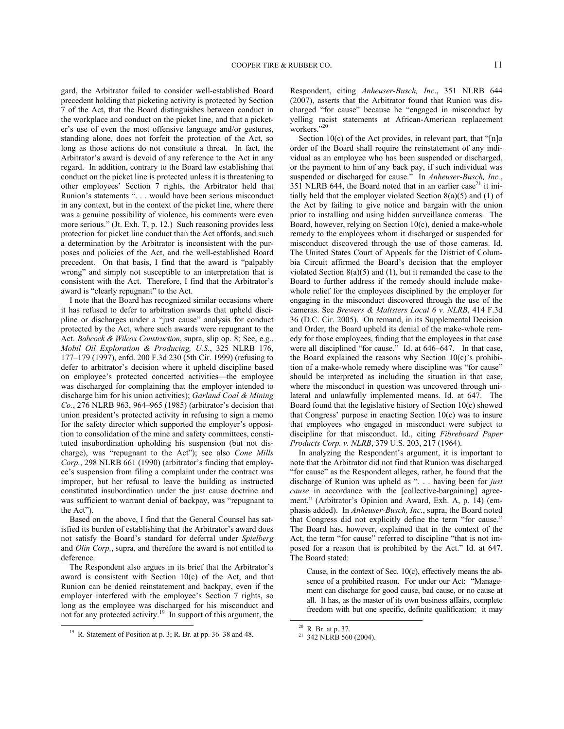gard, the Arbitrator failed to consider well-established Board precedent holding that picketing activity is protected by Section 7 of the Act, that the Board distinguishes between conduct in the workplace and conduct on the picket line, and that a picketer's use of even the most offensive language and/or gestures, standing alone, does not forfeit the protection of the Act, so long as those actions do not constitute a threat. In fact, the Arbitrator's award is devoid of any reference to the Act in any regard. In addition, contrary to the Board law establishing that conduct on the picket line is protected unless it is threatening to other employees' Section 7 rights, the Arbitrator held that Runion's statements ". . . would have been serious misconduct in any context, but in the context of the picket line, where there was a genuine possibility of violence, his comments were even more serious." (Jt. Exh. T, p. 12.) Such reasoning provides less protection for picket line conduct than the Act affords, and such a determination by the Arbitrator is inconsistent with the purposes and policies of the Act, and the well-established Board precedent. On that basis, I find that the award is "palpably wrong" and simply not susceptible to an interpretation that is consistent with the Act. Therefore, I find that the Arbitrator's award is "clearly repugnant" to the Act.

I note that the Board has recognized similar occasions where it has refused to defer to arbitration awards that upheld discipline or discharges under a "just cause" analysis for conduct protected by the Act, where such awards were repugnant to the Act. *Babcock & Wilcox Construction*, supra, slip op. 8; See, e.g., *Mobil Oil Exploration & Producing, U.S.*, 325 NLRB 176, 177–179 (1997), enfd. 200 F.3d 230 (5th Cir. 1999) (refusing to defer to arbitrator's decision where it upheld discipline based on employee's protected concerted activities—the employee was discharged for complaining that the employer intended to discharge him for his union activities); *Garland Coal & Mining Co.*, 276 NLRB 963, 964–965 (1985) (arbitrator's decision that union president's protected activity in refusing to sign a memo for the safety director which supported the employer's opposition to consolidation of the mine and safety committees, constituted insubordination upholding his suspension (but not discharge), was "repugnant to the Act"); see also *Cone Mills Corp.*, 298 NLRB 661 (1990) (arbitrator's finding that employee's suspension from filing a complaint under the contract was improper, but her refusal to leave the building as instructed constituted insubordination under the just cause doctrine and was sufficient to warrant denial of backpay, was "repugnant to the Act").

Based on the above, I find that the General Counsel has satisfied its burden of establishing that the Arbitrator's award does not satisfy the Board's standard for deferral under *Spielberg* and *Olin Corp.*, supra, and therefore the award is not entitled to deference.

The Respondent also argues in its brief that the Arbitrator's award is consistent with Section 10(c) of the Act, and that Runion can be denied reinstatement and backpay, even if the employer interfered with the employee's Section 7 rights, so long as the employee was discharged for his misconduct and not for any protected activity.<sup>[19](#page-10-0)</sup> In support of this argument, the -

Respondent, citing *Anheuser-Busch, Inc*., 351 NLRB 644 (2007), asserts that the Arbitrator found that Runion was discharged "for cause" because he "engaged in misconduct by yelling racist statements at African-American replacement workers."<sup>[20](#page-10-1)</sup>

Section 10(c) of the Act provides, in relevant part, that "[n]o order of the Board shall require the reinstatement of any individual as an employee who has been suspended or discharged, or the payment to him of any back pay, if such individual was suspended or discharged for cause." In *Anheuser-Busch, Inc.*, 351 NLRB 644, the Board noted that in an earlier case<sup>[21](#page-10-2)</sup> it initially held that the employer violated Section 8(a)(5) and (1) of the Act by failing to give notice and bargain with the union prior to installing and using hidden surveillance cameras. The Board, however, relying on Section 10(c), denied a make-whole remedy to the employees whom it discharged or suspended for misconduct discovered through the use of those cameras. Id. The United States Court of Appeals for the District of Columbia Circuit affirmed the Board's decision that the employer violated Section 8(a)(5) and (1), but it remanded the case to the Board to further address if the remedy should include makewhole relief for the employees disciplined by the employer for engaging in the misconduct discovered through the use of the cameras. See *Brewers & Maltsters Local 6 v. NLRB*, 414 F.3d 36 (D.C. Cir. 2005). On remand, in its Supplemental Decision and Order, the Board upheld its denial of the make-whole remedy for those employees, finding that the employees in that case were all disciplined "for cause." Id. at 646–647. In that case, the Board explained the reasons why Section 10(c)'s prohibition of a make-whole remedy where discipline was "for cause" should be interpreted as including the situation in that case, where the misconduct in question was uncovered through unilateral and unlawfully implemented means. Id. at 647. The Board found that the legislative history of Section 10(c) showed that Congress' purpose in enacting Section 10(c) was to insure that employees who engaged in misconduct were subject to discipline for that misconduct. Id., citing *Fibreboard Paper Products Corp. v. NLRB*, 379 U.S. 203, 217 (1964).

In analyzing the Respondent's argument, it is important to note that the Arbitrator did not find that Runion was discharged "for cause" as the Respondent alleges, rather, he found that the discharge of Runion was upheld as ". . . having been for *just cause* in accordance with the [collective-bargaining] agreement." (Arbitrator's Opinion and Award, Exh. A, p. 14) (emphasis added). In *Anheuser-Busch, Inc*., supra, the Board noted that Congress did not explicitly define the term "for cause." The Board has, however, explained that in the context of the Act, the term "for cause" referred to discipline "that is not imposed for a reason that is prohibited by the Act." Id. at 647. The Board stated:

Cause, in the context of Sec. 10(c), effectively means the absence of a prohibited reason. For under our Act: "Management can discharge for good cause, bad cause, or no cause at all. It has, as the master of its own business affairs, complete freedom with but one specific, definite qualification: it may

 $\overline{\phantom{a}}$ 

<span id="page-10-2"></span><span id="page-10-1"></span><span id="page-10-0"></span><sup>19</sup> R. Statement of Position at p. 3; R. Br. at pp. 36–38 and 48.

<sup>20</sup> R. Br. at p. 37.

<sup>&</sup>lt;sup>21</sup> 342 NLRB 560 (2004).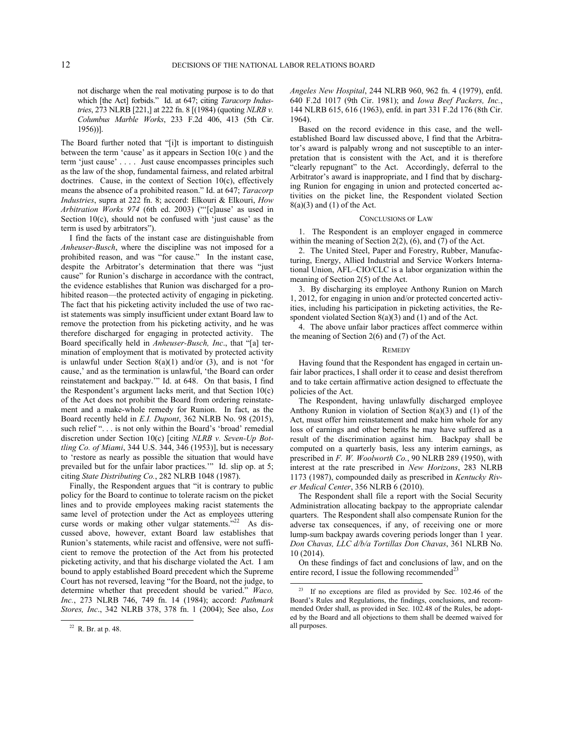not discharge when the real motivating purpose is to do that which [the Act] forbids." Id. at 647; citing *Taracorp Industries*, 273 NLRB [221,] at 222 fn. 8 [(1984) (quoting *NLRB v. Columbus Marble Works*, 233 F.2d 406, 413 (5th Cir. 1956))].

The Board further noted that "[i]t is important to distinguish between the term 'cause' as it appears in Section 10(c ) and the term 'just cause' . . . . Just cause encompasses principles such as the law of the shop, fundamental fairness, and related arbitral doctrines. Cause, in the context of Section 10(c), effectively means the absence of a prohibited reason." Id. at 647; *Taracorp Industries*, supra at 222 fn. 8; accord: Elkouri & Elkouri, *How Arbitration Works 974* (6th ed. 2003) ("'[c]ause' as used in Section 10(c), should not be confused with 'just cause' as the term is used by arbitrators").

I find the facts of the instant case are distinguishable from *Anheuser-Busch*, where the discipline was not imposed for a prohibited reason, and was "for cause." In the instant case, despite the Arbitrator's determination that there was "just cause" for Runion's discharge in accordance with the contract, the evidence establishes that Runion was discharged for a prohibited reason—the protected activity of engaging in picketing. The fact that his picketing activity included the use of two racist statements was simply insufficient under extant Board law to remove the protection from his picketing activity, and he was therefore discharged for engaging in protected activity. The Board specifically held in *Anheuser-Busch, Inc*., that "[a] termination of employment that is motivated by protected activity is unlawful under Section  $8(a)(1)$  and/or  $(3)$ , and is not 'for cause,' and as the termination is unlawful, 'the Board can order reinstatement and backpay.'" Id. at 648. On that basis, I find the Respondent's argument lacks merit, and that Section 10(c) of the Act does not prohibit the Board from ordering reinstatement and a make-whole remedy for Runion. In fact, as the Board recently held in *E.I. Dupont*, 362 NLRB No. 98 (2015), such relief "... is not only within the Board's 'broad' remedial discretion under Section 10(c) [citing *NLRB v. Seven-Up Bottling Co. of Miami*, 344 U.S. 344, 346 (1953)], but is necessary to 'restore as nearly as possible the situation that would have prevailed but for the unfair labor practices.'" Id. slip op. at 5; citing *State Distributing Co.*, 282 NLRB 1048 (1987).

Finally, the Respondent argues that "it is contrary to public policy for the Board to continue to tolerate racism on the picket lines and to provide employees making racist statements the same level of protection under the Act as employees uttering curse words or making other vulgar statements."<sup>[22](#page-11-0)</sup> As discussed above, however, extant Board law establishes that Runion's statements, while racist and offensive, were not sufficient to remove the protection of the Act from his protected picketing activity, and that his discharge violated the Act. I am bound to apply established Board precedent which the Supreme Court has not reversed, leaving "for the Board, not the judge, to determine whether that precedent should be varied." *Waco, Inc.*, 273 NLRB 746, 749 fn. 14 (1984); accord: *Pathmark Stores, Inc*., 342 NLRB 378, 378 fn. 1 (2004); See also, *Los* 

<span id="page-11-1"></span><span id="page-11-0"></span>-

*Angeles New Hospital*, 244 NLRB 960, 962 fn. 4 (1979), enfd. 640 F.2d 1017 (9th Cir. 1981); and *Iowa Beef Packers, Inc.*, 144 NLRB 615, 616 (1963), enfd. in part 331 F.2d 176 (8th Cir. 1964).

Based on the record evidence in this case, and the wellestablished Board law discussed above, I find that the Arbitrator's award is palpably wrong and not susceptible to an interpretation that is consistent with the Act, and it is therefore "clearly repugnant" to the Act. Accordingly, deferral to the Arbitrator's award is inappropriate, and I find that by discharging Runion for engaging in union and protected concerted activities on the picket line, the Respondent violated Section  $8(a)(3)$  and  $(1)$  of the Act.

#### CONCLUSIONS OF LAW

1. The Respondent is an employer engaged in commerce within the meaning of Section 2(2), (6), and (7) of the Act.

2. The United Steel, Paper and Forestry, Rubber, Manufacturing, Energy, Allied Industrial and Service Workers International Union, AFL–CIO/CLC is a labor organization within the meaning of Section 2(5) of the Act.

3. By discharging its employee Anthony Runion on March 1, 2012, for engaging in union and/or protected concerted activities, including his participation in picketing activities, the Respondent violated Section 8(a)(3) and (1) and of the Act.

4. The above unfair labor practices affect commerce within the meaning of Section 2(6) and (7) of the Act.

### **REMEDY**

Having found that the Respondent has engaged in certain unfair labor practices, I shall order it to cease and desist therefrom and to take certain affirmative action designed to effectuate the policies of the Act.

The Respondent, having unlawfully discharged employee Anthony Runion in violation of Section  $8(a)(3)$  and (1) of the Act, must offer him reinstatement and make him whole for any loss of earnings and other benefits he may have suffered as a result of the discrimination against him. Backpay shall be computed on a quarterly basis, less any interim earnings, as prescribed in *F. W. Woolworth Co.*, 90 NLRB 289 (1950), with interest at the rate prescribed in *New Horizons*, 283 NLRB 1173 (1987), compounded daily as prescribed in *Kentucky River Medical Center*, 356 NLRB 6 (2010).

The Respondent shall file a report with the Social Security Administration allocating backpay to the appropriate calendar quarters. The Respondent shall also compensate Runion for the adverse tax consequences, if any, of receiving one or more lump-sum backpay awards covering periods longer than 1 year. *Don Chavas, LLC d/b/a Tortillas Don Chavas*, 361 NLRB No. 10 (2014).

On these findings of fact and conclusions of law, and on the entire record, I issue the following recommended<sup>[23](#page-11-1)</sup>

 $\overline{\phantom{a}}$ 

 $22$  R. Br. at p. 48.

<sup>23</sup> If no exceptions are filed as provided by Sec. 102.46 of the Board's Rules and Regulations, the findings, conclusions, and recommended Order shall, as provided in Sec. 102.48 of the Rules, be adopted by the Board and all objections to them shall be deemed waived for all purposes.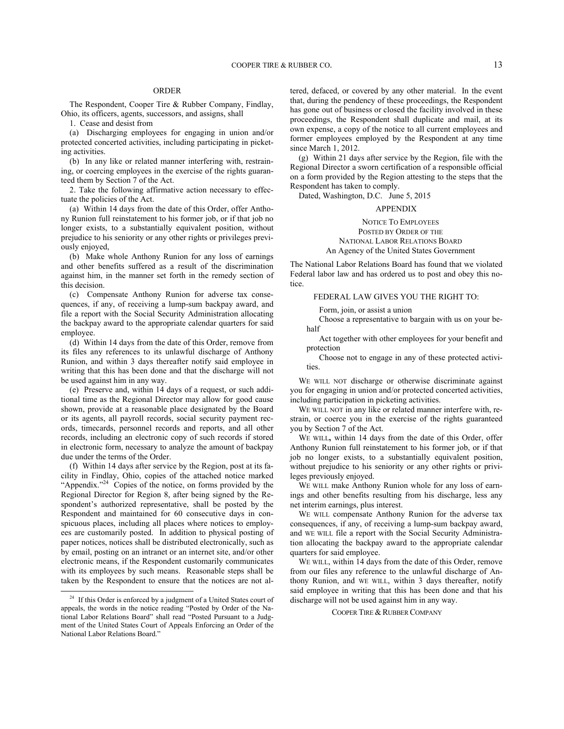# ORDER

The Respondent, Cooper Tire & Rubber Company, Findlay, Ohio, its officers, agents, successors, and assigns, shall

1. Cease and desist from

(a) Discharging employees for engaging in union and/or protected concerted activities, including participating in picketing activities.

(b) In any like or related manner interfering with, restraining, or coercing employees in the exercise of the rights guaranteed them by Section 7 of the Act.

2. Take the following affirmative action necessary to effectuate the policies of the Act.

(a) Within 14 days from the date of this Order, offer Anthony Runion full reinstatement to his former job, or if that job no longer exists, to a substantially equivalent position, without prejudice to his seniority or any other rights or privileges previously enjoyed,

(b) Make whole Anthony Runion for any loss of earnings and other benefits suffered as a result of the discrimination against him, in the manner set forth in the remedy section of this decision.

(c) Compensate Anthony Runion for adverse tax consequences, if any, of receiving a lump-sum backpay award, and file a report with the Social Security Administration allocating the backpay award to the appropriate calendar quarters for said employee.

(d) Within 14 days from the date of this Order, remove from its files any references to its unlawful discharge of Anthony Runion, and within 3 days thereafter notify said employee in writing that this has been done and that the discharge will not be used against him in any way.

(e) Preserve and, within 14 days of a request, or such additional time as the Regional Director may allow for good cause shown, provide at a reasonable place designated by the Board or its agents, all payroll records, social security payment records, timecards, personnel records and reports, and all other records, including an electronic copy of such records if stored in electronic form, necessary to analyze the amount of backpay due under the terms of the Order.

(f) Within 14 days after service by the Region, post at its facility in Findlay, Ohio, copies of the attached notice marked "Appendix."<sup>[24](#page-12-0)</sup> Copies of the notice, on forms provided by the Regional Director for Region 8, after being signed by the Respondent's authorized representative, shall be posted by the Respondent and maintained for 60 consecutive days in conspicuous places, including all places where notices to employees are customarily posted. In addition to physical posting of paper notices, notices shall be distributed electronically, such as by email, posting on an intranet or an internet site, and/or other electronic means, if the Respondent customarily communicates with its employees by such means. Reasonable steps shall be taken by the Respondent to ensure that the notices are not al-

-

tered, defaced, or covered by any other material. In the event that, during the pendency of these proceedings, the Respondent has gone out of business or closed the facility involved in these proceedings, the Respondent shall duplicate and mail, at its own expense, a copy of the notice to all current employees and former employees employed by the Respondent at any time since March 1, 2012.

(g) Within 21 days after service by the Region, file with the Regional Director a sworn certification of a responsible official on a form provided by the Region attesting to the steps that the Respondent has taken to comply.

Dated, Washington, D.C. June 5, 2015

#### APPENDIX

NOTICE TO EMPLOYEES POSTED BY ORDER OF THE NATIONAL LABOR RELATIONS BOARD An Agency of the United States Government

The National Labor Relations Board has found that we violated Federal labor law and has ordered us to post and obey this notice.

### FEDERAL LAW GIVES YOU THE RIGHT TO:

Form, join, or assist a union

Choose a representative to bargain with us on your behalf

Act together with other employees for your benefit and protection

Choose not to engage in any of these protected activities.

WE WILL NOT discharge or otherwise discriminate against you for engaging in union and/or protected concerted activities, including participation in picketing activities.

WE WILL NOT in any like or related manner interfere with, restrain, or coerce you in the exercise of the rights guaranteed you by Section 7 of the Act.

WE WILL**,** within 14 days from the date of this Order, offer Anthony Runion full reinstatement to his former job, or if that job no longer exists, to a substantially equivalent position, without prejudice to his seniority or any other rights or privileges previously enjoyed.

WE WILL make Anthony Runion whole for any loss of earnings and other benefits resulting from his discharge, less any net interim earnings, plus interest.

WE WILL compensate Anthony Runion for the adverse tax consequences, if any, of receiving a lump-sum backpay award, and WE WILL file a report with the Social Security Administration allocating the backpay award to the appropriate calendar quarters for said employee.

WE WILL, within 14 days from the date of this Order, remove from our files any reference to the unlawful discharge of Anthony Runion, and WE WILL, within 3 days thereafter, notify said employee in writing that this has been done and that his discharge will not be used against him in any way.

COOPER TIRE & RUBBER COMPANY

<span id="page-12-0"></span><sup>&</sup>lt;sup>24</sup> If this Order is enforced by a judgment of a United States court of appeals, the words in the notice reading "Posted by Order of the National Labor Relations Board" shall read "Posted Pursuant to a Judgment of the United States Court of Appeals Enforcing an Order of the National Labor Relations Board."